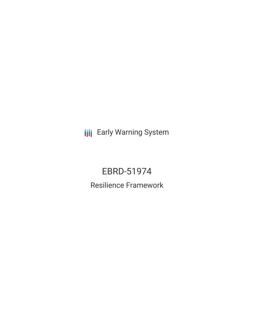**III** Early Warning System

# EBRD-51974 Resilience Framework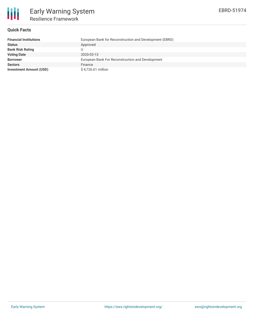

# **Quick Facts**

| <b>Financial Institutions</b>  | European Bank for Reconstruction and Development (EBRD) |
|--------------------------------|---------------------------------------------------------|
| <b>Status</b>                  | Approved                                                |
| <b>Bank Risk Rating</b>        |                                                         |
| <b>Voting Date</b>             | 2020-03-13                                              |
| <b>Borrower</b>                | European Bank For Reconstruction and Development        |
| <b>Sectors</b>                 | Finance                                                 |
| <b>Investment Amount (USD)</b> | \$4,726.61 million                                      |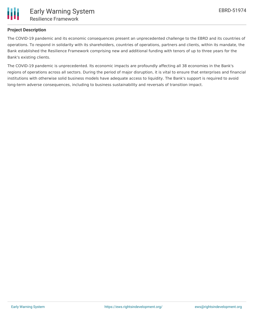

# **Project Description**

The COVID-19 pandemic and its economic consequences present an unprecedented challenge to the EBRD and its countries of operations. To respond in solidarity with its shareholders, countries of operations, partners and clients, within its mandate, the Bank established the Resilience Framework comprising new and additional funding with tenors of up to three years for the Bank's existing clients.

The COVID-19 pandemic is unprecedented. Its economic impacts are profoundly affecting all 38 economies in the Bank's regions of operations across all sectors. During the period of major disruption, it is vital to ensure that enterprises and financial institutions with otherwise solid business models have adequate access to liquidity. The Bank's support is required to avoid long-term adverse consequences, including to business sustainability and reversals of transition impact.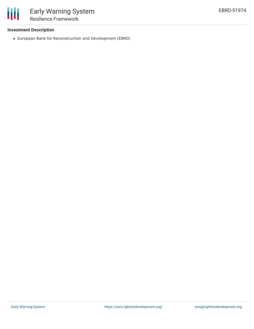

# **Investment Description**

European Bank for Reconstruction and Development (EBRD)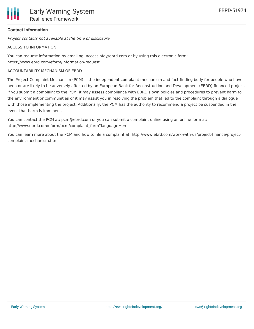# **Contact Information**

Project contacts not available at the time of disclosure.

#### ACCESS TO INFORMATION

You can request information by emailing: accessinfo@ebrd.com or by using this electronic form: https://www.ebrd.com/eform/information-request

### ACCOUNTABILITY MECHANISM OF EBRD

The Project Complaint Mechanism (PCM) is the independent complaint mechanism and fact-finding body for people who have been or are likely to be adversely affected by an European Bank for Reconstruction and Development (EBRD)-financed project. If you submit a complaint to the PCM, it may assess compliance with EBRD's own policies and procedures to prevent harm to the environment or communities or it may assist you in resolving the problem that led to the complaint through a dialogue with those implementing the project. Additionally, the PCM has the authority to recommend a project be suspended in the event that harm is imminent.

You can contact the PCM at: pcm@ebrd.com or you can submit a complaint online using an online form at: http://www.ebrd.com/eform/pcm/complaint\_form?language=en

You can learn more about the PCM and how to file a complaint at: http://www.ebrd.com/work-with-us/project-finance/projectcomplaint-mechanism.html